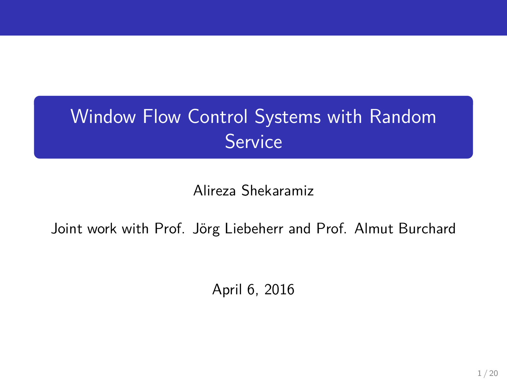# Window Flow Control Systems with Random **Service**

Alireza Shekaramiz

Joint work with Prof. Jörg Liebeherr and Prof. Almut Burchard

April 6, 2016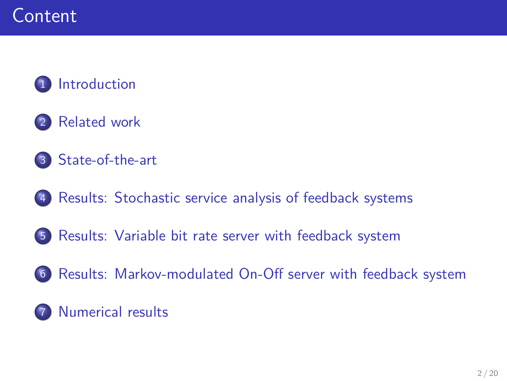

- [Related work](#page-3-0)
- [State-of-the-art](#page-7-0)
- [Results: Stochastic service analysis of feedback systems](#page-9-0)
- [Results: Variable bit rate server with feedback system](#page-12-0)
- [Results: Markov-modulated On-Off server with feedback system](#page-13-0)

#### **[Numerical results](#page-14-0)**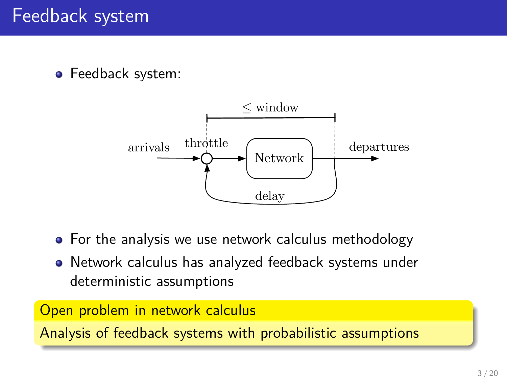• Feedback system:



- For the analysis we use network calculus methodology
- <span id="page-2-0"></span>Network calculus has analyzed feedback systems under deterministic assumptions

Open problem in network calculus

Analysis of feedback systems with probabilistic assumptions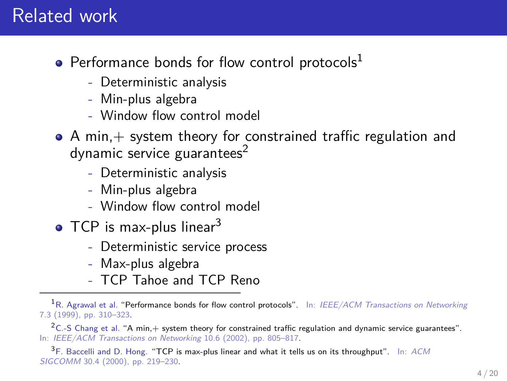#### Related work

- Performance bonds for flow control protocols $<sup>L</sup>$ </sup>
	- Deterministic analysis
	- Min-plus algebra
	- Window flow control model
- $\bullet$  A min,  $+$  system theory for constrained traffic regulation and dynamic service guarantees $2$ 
	- Deterministic analysis
	- Min-plus algebra
	- Window flow control model
- $\bullet$  TCP is max-plus linear<sup>3</sup>
	- Deterministic service process
	- Max-plus algebra
	- TCP Tahoe and TCP Reno

<sup>2</sup>C.-S Chang et al. "A min, $+$  system theory for constrained traffic regulation and dynamic service guarantees". In: IEEE/ACM Transactions on Networking 10.6 (2002), pp. 805–817.

<span id="page-3-0"></span><sup>3</sup>F. Baccelli and D. Hong. "TCP is max-plus linear and what it tells us on its throughput". In: ACM SIGCOMM 30.4 (2000), pp. 219–230.

<sup>&</sup>lt;sup>1</sup>R. Agrawal et al. "Performance bonds for flow control protocols". In: IEEE/ACM Transactions on Networking 7.3 (1999), pp. 310–323.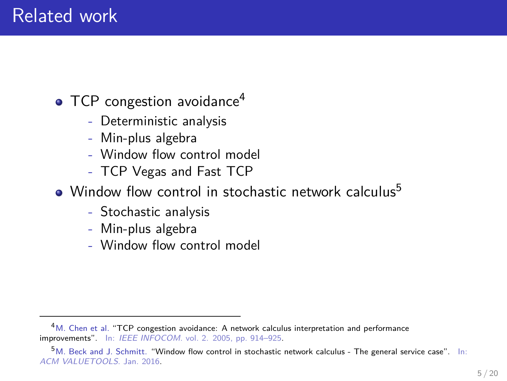#### Related work

• TCP congestion avoidance<sup>4</sup>

- Deterministic analysis
- Min-plus algebra
- Window flow control model
- TCP Vegas and Fast TCP
- Window flow control in stochastic network calculus<sup>5</sup>
	- Stochastic analysis
	- Min-plus algebra
	- Window flow control model

<sup>&</sup>lt;sup>4</sup>M. Chen et al. "TCP congestion avoidance: A network calculus interpretation and performance improvements". In: IEEE INFOCOM. vol. 2. 2005, pp. 914–925.

<sup>5</sup>M. Beck and J. Schmitt. "Window flow control in stochastic network calculus - The general service case". In: ACM VALUETOOLS. Jan. 2016.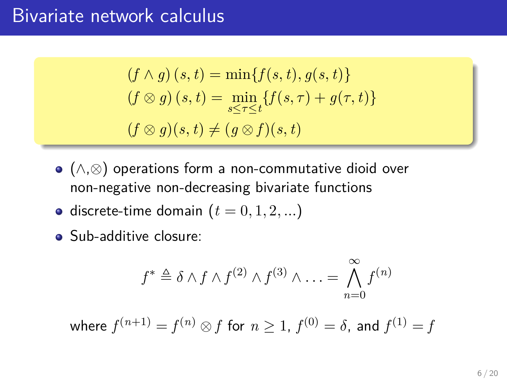#### Bivariate network calculus

$$
(f \wedge g) (s, t) = \min\{f(s, t), g(s, t)\}
$$

$$
(f \otimes g) (s, t) = \min_{s \le \tau \le t} \{f(s, \tau) + g(\tau, t)\}
$$

$$
(f \otimes g)(s, t) \ne (g \otimes f)(s, t)
$$

- (∧,⊗) operations form a non-commutative dioid over non-negative non-decreasing bivariate functions
- $\bullet$  discrete-time domain ( $t = 0, 1, 2, ...$ )
- Sub-additive closure:

$$
f^* \triangleq \delta \wedge f \wedge f^{(2)} \wedge f^{(3)} \wedge \ldots = \bigwedge_{n=0}^{\infty} f^{(n)}
$$

where  $f^{(n+1)} = f^{(n)} \otimes f$  for  $n \geq 1$ ,  $f^{(0)} = \delta$ , and  $f^{(1)} = f$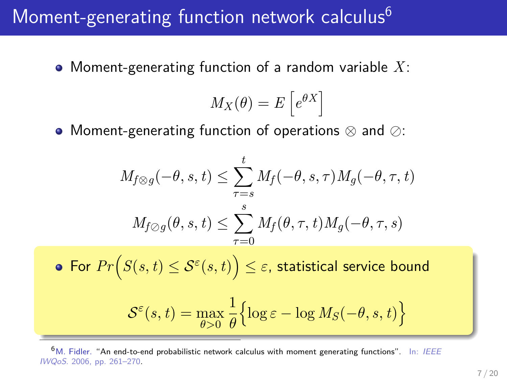### Moment-generating function network calculus<sup>6</sup>

Moment-generating function of a random variable *X*:

$$
M_X(\theta) = E\left[e^{\theta X}\right]
$$

• Moment-generating function of operations  $\otimes$  and  $\oslash$ :

$$
M_{f \otimes g}(-\theta, s, t) \leq \sum_{\tau=s}^{t} M_f(-\theta, s, \tau) M_g(-\theta, \tau, t)
$$

$$
M_{f \otimes g}(\theta, s, t) \leq \sum_{\tau=0}^{s} M_f(\theta, \tau, t) M_g(-\theta, \tau, s)
$$
• For  $Pr(S(s, t) \leq S^{\varepsilon}(s, t)) \leq \varepsilon$ , statistical service bound  

$$
S^{\varepsilon}(s, t) = \max_{\theta > 0} \frac{1}{\theta} \Big\{ \log \varepsilon - \log M_S(-\theta, s, t) \Big\}
$$

<sup>6</sup>M. Fidler. "An end-to-end probabilistic network calculus with moment generating functions". In: IEEE IWQoS. 2006, pp. 261–270.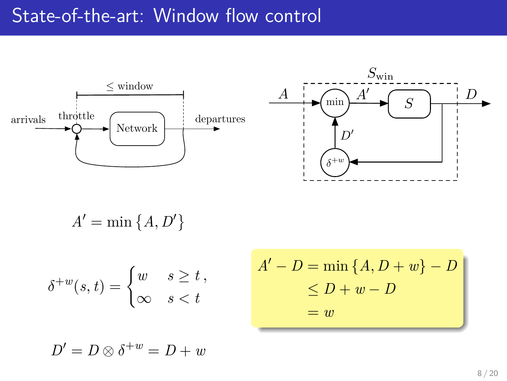#### State-of-the-art: Window flow control



$$
A' = \min\left\{A, D'\right\}
$$

$$
\delta^{+w}(s,t) = \begin{cases} w & s \ge t \\ \infty & s < t \end{cases}
$$

<span id="page-7-0"></span>
$$
A' - D = \min \{A, D + w\} - D
$$
  

$$
\le D + w - D
$$
  

$$
= w
$$

 $D' = D \otimes \delta^{+w} = D + w$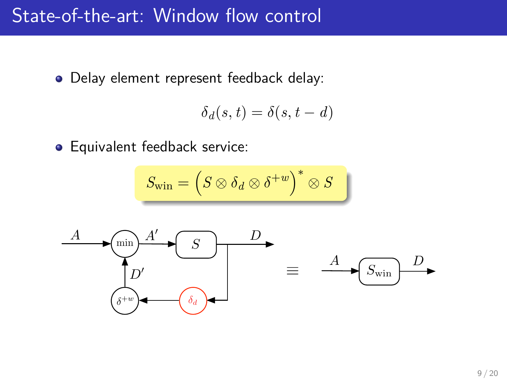#### State-of-the-art: Window flow control

Delay element represent feedback delay:

$$
\delta_d(s,t) = \delta(s,t-d)
$$

**•** Equivalent feedback service:

$$
S_{\text{win}} = \left(S \otimes \delta_d \otimes \delta^{+w}\right)^* \otimes S
$$

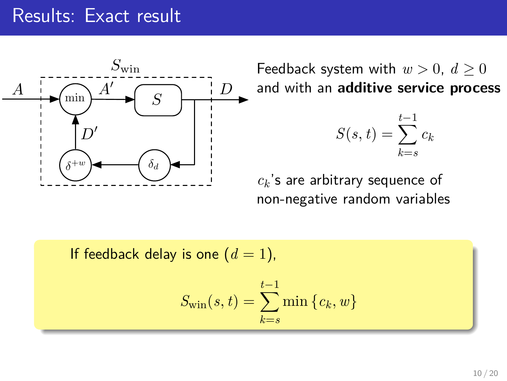#### Results: Exact result



Feedback system with  $w > 0$ ,  $d > 0$ and with an **additive service process**

$$
S(s,t) = \sum_{k=s}^{t-1} c_k
$$

<span id="page-9-0"></span>*c<sup>k</sup>* 's are arbitrary sequence of non-negative random variables

If feedback delay is one  $(d = 1)$ ,  $S_{\text{win}}(s,t) = \sum \min \{c_k, w\}$ *t*−1 *k*=*s*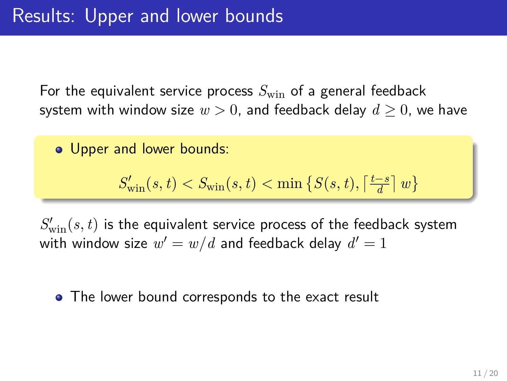For the equivalent service process  $S_{\text{win}}$  of a general feedback system with window size  $w > 0$ , and feedback delay  $d \geq 0$ , we have

Upper and lower bounds:

$$
S'_{\text{win}}(s, t) < S_{\text{win}}(s, t) < \min\left\{S(s, t), \left\lceil \frac{t - s}{d} \right\rceil w\right\}
$$

 $S'_{{\rm win}}(s,t)$  is the equivalent service process of the feedback system with window size  $w' = w/d$  and feedback delay  $d' = 1$ 

• The lower bound corresponds to the exact result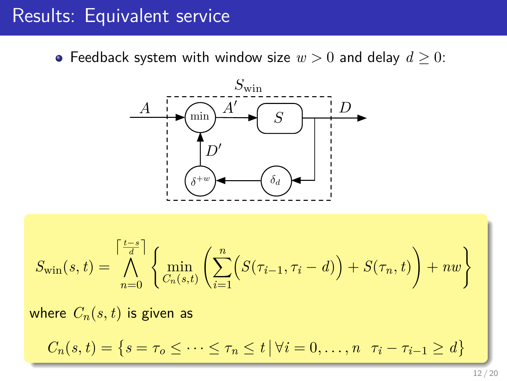#### Results: Equivalent service

• Feedback system with window size  $w > 0$  and delay  $d \geq 0$ :



$$
S_{\text{win}}(s,t) = \bigwedge_{n=0}^{\left\lceil \frac{t-s}{d} \right\rceil} \left\{ \min_{C_n(s,t)} \left( \sum_{i=1}^n \left( S(\tau_{i-1}, \tau_i - d) \right) + S(\tau_n, t) \right) + nw \right\}
$$

where  $C_n(s, t)$  is given as

 $C_n(s,t) = \{ s = \tau_o \leq \cdots \leq \tau_n \leq t \mid \forall i = 0,\ldots,n \quad \tau_i - \tau_{i-1} \geq d \}$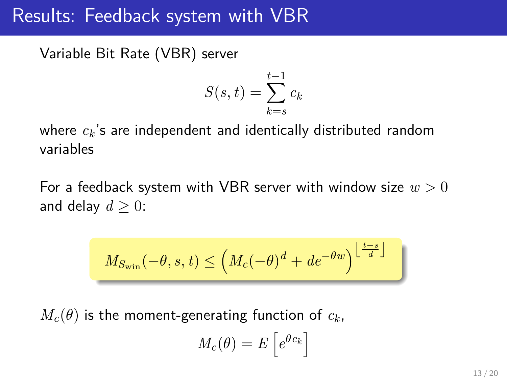#### Results: Feedback system with VBR

Variable Bit Rate (VBR) server

$$
S(s,t) = \sum_{k=s}^{t-1} c_k
$$

where *c<sup>k</sup>* 's are independent and identically distributed random variables

For a feedback system with VBR server with window size *w >* 0 and delay  $d \geq 0$ :

$$
M_{S_{\text{win}}}(-\theta, s, t) \le \left(M_c(-\theta)^d + de^{-\theta w}\right)^{\left\lfloor \frac{t-s}{d} \right\rfloor}
$$

 $M_c(\theta)$  is the moment-generating function of  $c_k$ ,

<span id="page-12-0"></span>
$$
M_c(\theta) = E\left[e^{\theta c_k}\right]
$$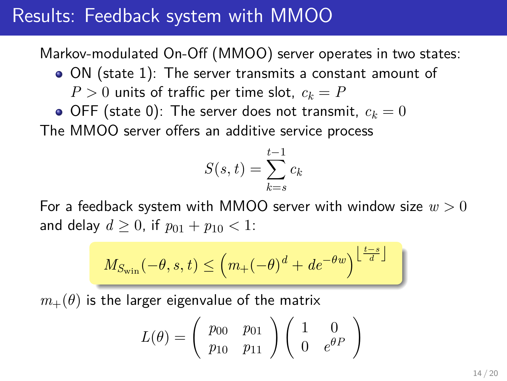#### Results: Feedback system with MMOO

Markov-modulated On-Off (MMOO) server operates in two states:

ON (state 1): The server transmits a constant amount of

 $P > 0$  units of traffic per time slot,  $c_k = P$ 

 $\bullet$  OFF (state 0): The server does not transmit,  $c_k = 0$ 

The MMOO server offers an additive service process

$$
S(s,t) = \sum_{k=s}^{t-1} c_k
$$

For a feedback system with MMOO server with window size *w >* 0 and delay  $d > 0$ , if  $p_{01} + p_{10} < 1$ :

$$
M_{S_{\text{win}}}(-\theta, s, t) \le \left( m_+(-\theta)^d + de^{-\theta w} \right)^{\left\lfloor \frac{t-s}{d} \right\rfloor} \Big|
$$

 $m_{+}(\theta)$  is the larger eigenvalue of the matrix

<span id="page-13-0"></span>
$$
L(\theta) = \begin{pmatrix} p_{00} & p_{01} \\ p_{10} & p_{11} \end{pmatrix} \begin{pmatrix} 1 & 0 \\ 0 & e^{\theta P} \end{pmatrix}
$$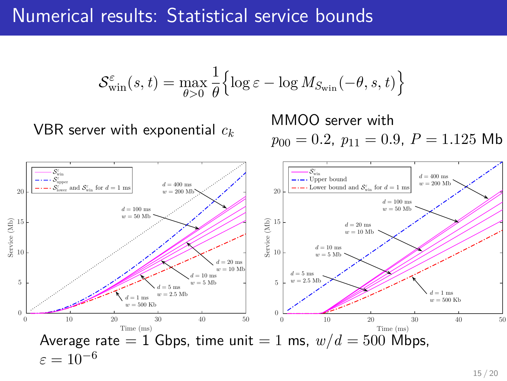#### Numerical results: Statistical service bounds

$$
\mathcal{S}_{\text{win}}^{\varepsilon}(s,t) = \max_{\theta>0} \frac{1}{\theta} \Big\{ \log \varepsilon - \log M_{S_{\text{win}}}(-\theta, s, t) \Big\}
$$

VBR server with exponential *c<sup>k</sup>*

MMOO server with  $p_{00} = 0.2$ ,  $p_{11} = 0.9$ ,  $P = 1.125$  Mb



<span id="page-14-0"></span>15 / 20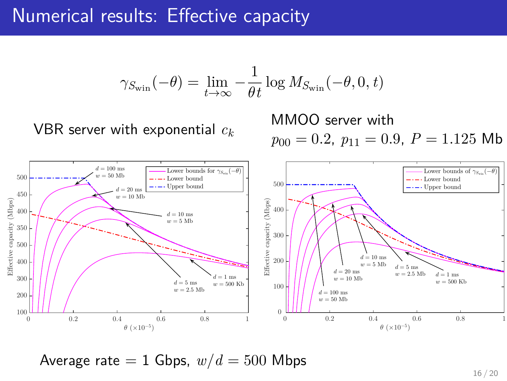#### Numerical results: Effective capacity

$$
\gamma_{S_{\text{win}}}(-\theta) = \lim_{t \to \infty} -\frac{1}{\theta t} \log M_{S_{\text{win}}}(-\theta, 0, t)
$$

VBR server with exponential *c<sup>k</sup>*

MMOO server with  $p_{00} = 0.2$ ,  $p_{11} = 0.9$ ,  $P = 1.125$  Mb



Average rate  $= 1$  Gbps,  $w/d = 500$  Mbps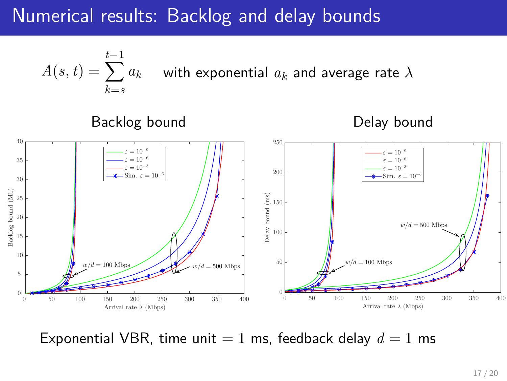### Numerical results: Backlog and delay bounds





Exponential VBR, time unit  $= 1$  ms, feedback delay  $d = 1$  ms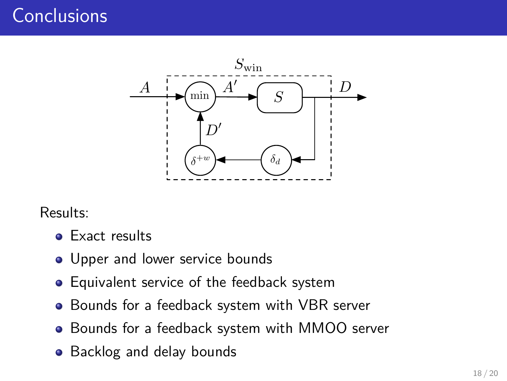## **Conclusions**



Results:

- **•** Exact results
- Upper and lower service bounds
- **•** Equivalent service of the feedback system
- Bounds for a feedback system with VBR server
- Bounds for a feedback system with MMOO server
- Backlog and delay bounds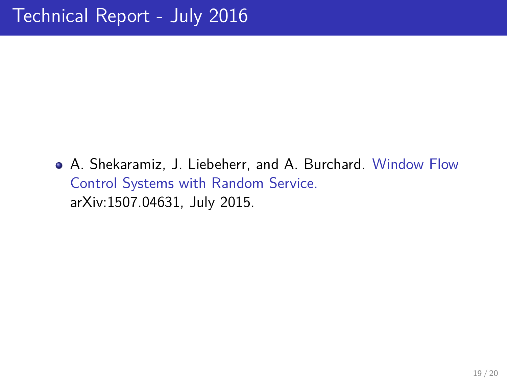A. Shekaramiz, J. Liebeherr, and A. Burchard. Window Flow Control Systems with Random Service. arXiv:1507.04631, July 2015.